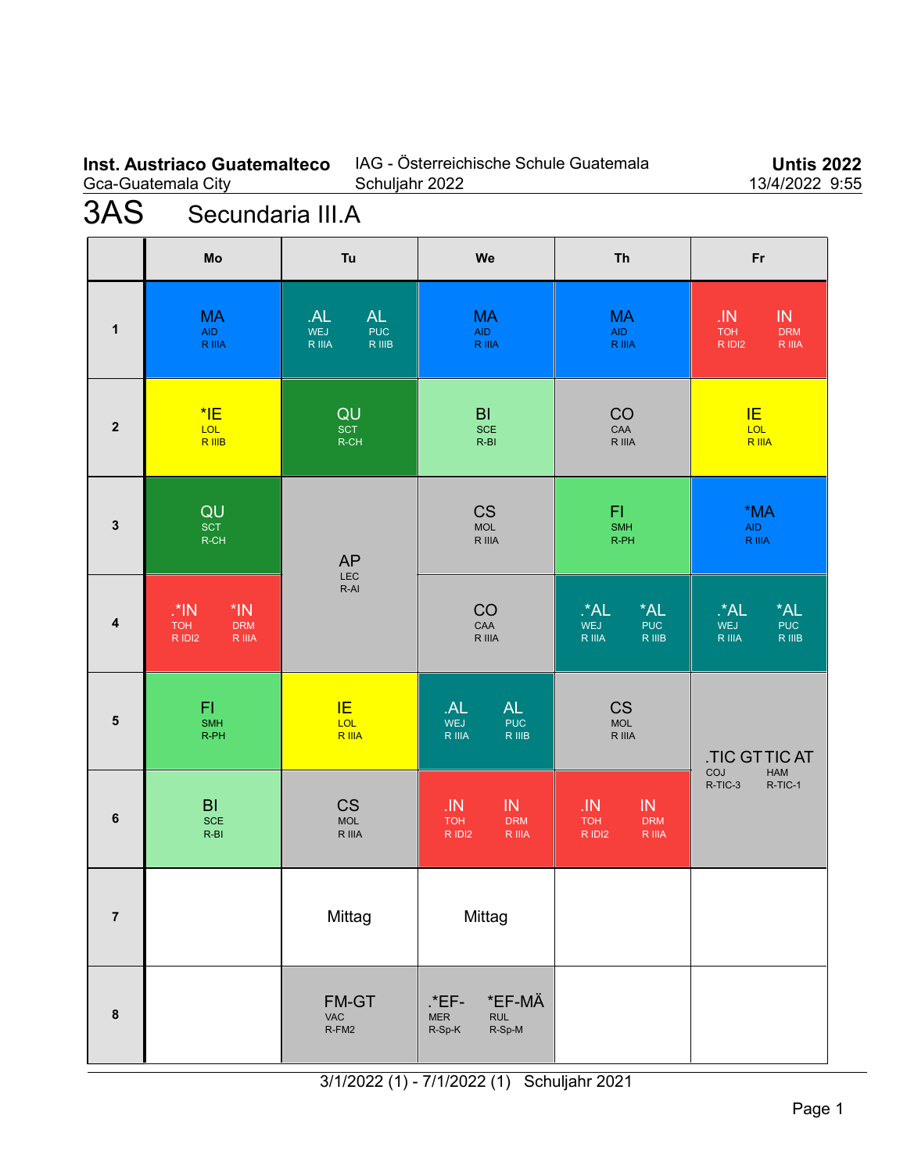### **Inst. Austriaco Guatemalteco** Gca-Guatemala City

### IAG - Österreichische Schule Guatemala Schuljahr 2022

**Untis 2022** 13/4/2022 9:55

# 3AS Secundaria III.A

|                | Mo                                                                   | Tu                                                       | We                                                                 | <b>Th</b>                                                              | Fr                                                                             |
|----------------|----------------------------------------------------------------------|----------------------------------------------------------|--------------------------------------------------------------------|------------------------------------------------------------------------|--------------------------------------------------------------------------------|
| 1              | <b>MA</b><br><b>AID</b><br><b>R</b> IIIA                             | <b>AL</b><br>AL<br><b>PUC</b><br>WEJ<br>R IIIB<br>R IIIA | <b>MA</b><br>AID<br>R IIIA                                         | <b>MA</b><br>AID<br>R IIIA                                             | IN<br>${\sf J}{\sf IN}$<br><b>TOH</b><br><b>DRM</b><br>R IDI2<br><b>R</b> IIIA |
| $\mathbf 2$    | $*$ IE<br>LOL<br>R IIIB                                              | QU<br>SCT<br>$R$ -CH                                     | $\mathsf{BI}$<br><b>SCE</b><br>$R-BI$                              | CO<br>$\mathsf{C}\mathsf{A}\mathsf{A}$<br>R IIIA                       | IE<br>LOL<br><b>R</b> IIIA                                                     |
| $\mathbf{3}$   | QU<br>SCT<br>R-CH                                                    | <b>AP</b><br>LEC<br>$R-AI$                               | <b>CS</b><br>$\sf MOL$<br>R IIIA                                   | FI<br><b>SMH</b><br>R-PH                                               | *MA<br><b>AID</b><br>R IIIA                                                    |
| 4              | $\cdot$ *IN<br>$*IN$<br><b>TOH</b><br><b>DRM</b><br>R IDI2<br>R IIIA |                                                          | CO<br>CAA<br>R IIIA                                                | $*AL$<br>$A^*A$<br>WEJ<br><b>PUC</b><br>R IIIA<br>R IIIB               | $^{\star}$ AL<br>*AL<br>WEJ<br><b>PUC</b><br>R IIIA<br>R IIIB                  |
| ${\bf 5}$      | F1<br><b>SMH</b><br>R-PH                                             | <b>IE</b><br>LOL<br>R IIIA                               | AL<br>AL<br>WEJ<br><b>PUC</b><br>R IIIA<br>R IIIB                  | <b>CS</b><br><b>MOL</b><br>R IIIA                                      | <b>.TIC GTTIC AT</b>                                                           |
| 6              | B <sub>l</sub><br><b>SCE</b><br>$R-BI$                               | <b>CS</b><br><b>MOL</b><br>R IIIA                        | JN<br>${\sf IN}$<br><b>TOH</b><br><b>DRM</b><br>R IDI2<br>$R$ IIIA | IN<br>$\overline{M}$<br><b>TOH</b><br><b>DRM</b><br>R IDI2<br>$R$ IIIA | COJ<br>HAM<br>R-TIC-3<br>R-TIC-1                                               |
| $\overline{7}$ |                                                                      | Mittag                                                   | Mittag                                                             |                                                                        |                                                                                |
| 8              |                                                                      | FM-GT<br>VAC<br>R-FM2                                    | *EF-MÄ<br>.*EF-<br><b>RUL</b><br>${\sf MER}$<br>R-Sp-M<br>$R-Sp-K$ |                                                                        |                                                                                |

3/1/2022 (1) - 7/1/2022 (1) Schuljahr 2021